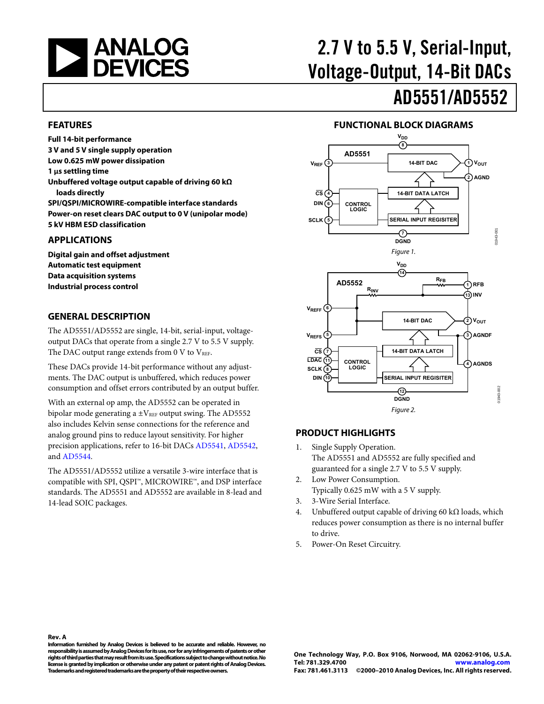<span id="page-0-0"></span>

# 2.7 V to 5.5 V, Serial-Input, Voltage-Output, 14-Bit DACs AD5551/AD5552

#### **FEATURES**

**Full 14-bit performance 3 V and 5 V single supply operation Low 0.625 mW power dissipation 1 μs settling time Unbuffered voltage output capable of driving 60 kΩ loads directly SPI/QSPI/MICROWIRE-compatible interface standards Power-on reset clears DAC output to 0 V (unipolar mode) 5 kV HBM ESD classification** 

#### **APPLICATIONS**

**Digital gain and offset adjustment Automatic test equipment Data acquisition systems Industrial process control** 

#### **GENERAL DESCRIPTION**

The AD5551/AD5552 are single, 14-bit, serial-input, voltageoutput DACs that operate from a single 2.7 V to 5.5 V supply. The DAC output range extends from  $0 \nabla$  to  $V_{REF}$ .

These DACs provide 14-bit performance without any adjustments. The DAC output is unbuffered, which reduces power consumption and offset errors contributed by an output buffer.

With an external op amp, the AD5552 can be operated in bipolar mode generating a  $\pm V_{REF}$  output swing. The AD5552 also includes Kelvin sense connections for the reference and analog ground pins to reduce layout sensitivity. For higher precision applications, refer to 16-bit DACs [AD5541,](http://www.analog.com/ad5541) [AD5542,](http://www.analog.com/AD5542) and [AD5544](http://www.analog.com/AD5544).

The AD5551/AD5552 utilize a versatile 3-wire interface that is compatible with SPI, QSPI™, MICROWIRE™, and DSP interface standards. The AD5551 and AD5552 are available in 8-lead and 14-lead SOIC packages.





#### **PRODUCT HIGHLIGHTS**

- 1. Single Supply Operation. The AD5551 and AD5552 are fully specified and guaranteed for a single 2.7 V to 5.5 V supply.
- 2. Low Power Consumption. Typically 0.625 mW with a 5 V supply.
- 3. 3-Wire Serial Interface.
- 4. Unbuffered output capable of driving 60 kΩ loads, which reduces power consumption as there is no internal buffer to drive.
- 5. Power-On Reset Circuitry.

**Rev. A**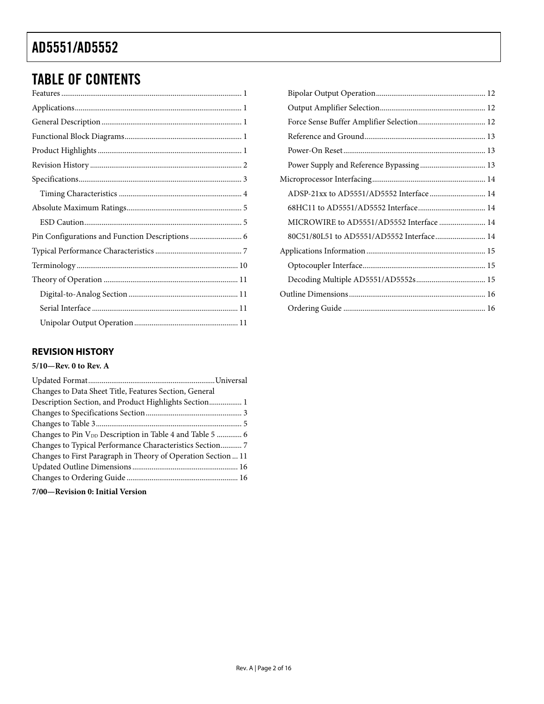# TABLE OF CONTENTS

### **REVISION HISTORY**

### **5/10—Rev. 0 to Rev. A**

| Changes to Data Sheet Title, Features Section, General               |  |
|----------------------------------------------------------------------|--|
| Description Section, and Product Highlights Section 1                |  |
|                                                                      |  |
|                                                                      |  |
| Changes to Pin V <sub>DD</sub> Description in Table 4 and Table 5  6 |  |
| Changes to Typical Performance Characteristics Section 7             |  |
| Changes to First Paragraph in Theory of Operation Section  11        |  |
|                                                                      |  |
|                                                                      |  |
|                                                                      |  |

**7/00—Revision 0: Initial Version** 

| ADSP-21xx to AD5551/AD5552 Interface 14   |  |
|-------------------------------------------|--|
|                                           |  |
| MICROWIRE to AD5551/AD5552 Interface  14  |  |
| 80C51/80L51 to AD5551/AD5552 Interface 14 |  |
|                                           |  |
|                                           |  |
|                                           |  |
|                                           |  |
|                                           |  |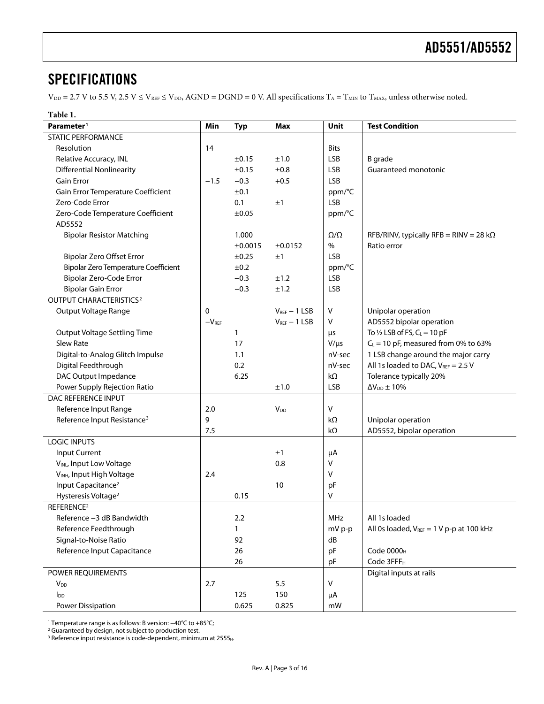### <span id="page-2-0"></span>SPECIFICATIONS

 $V_{DD} = 2.7$  V to 5.5 V, 2.5 V  $\le$  V<sub>REF</sub>  $\le$  V<sub>DD</sub>, AGND = DGND = 0 V. All specifications T<sub>A</sub> = T<sub>MIN</sub> to T<sub>MAX</sub>, unless otherwise noted.

#### **Table 1.**

| Parameter <sup>1</sup>                    | Min         | <b>Typ</b>   | <b>Max</b>             | Unit            | <b>Test Condition</b>                          |
|-------------------------------------------|-------------|--------------|------------------------|-----------------|------------------------------------------------|
| <b>STATIC PERFORMANCE</b>                 |             |              |                        |                 |                                                |
| Resolution                                | 14          |              |                        | <b>Bits</b>     |                                                |
| Relative Accuracy, INL                    |             | ±0.15        | ±1.0                   | <b>LSB</b>      | <b>B</b> grade                                 |
| <b>Differential Nonlinearity</b>          |             | ±0.15        | ±0.8                   | <b>LSB</b>      | Guaranteed monotonic                           |
| Gain Error                                | $-1.5$      | $-0.3$       | $+0.5$                 | <b>LSB</b>      |                                                |
| Gain Error Temperature Coefficient        |             | ±0.1         |                        | ppm/°C          |                                                |
| Zero-Code Error                           |             | 0.1          | ±1                     | <b>LSB</b>      |                                                |
| Zero-Code Temperature Coefficient         |             | ±0.05        |                        | ppm/°C          |                                                |
| AD5552                                    |             |              |                        |                 |                                                |
| <b>Bipolar Resistor Matching</b>          |             | 1.000        |                        | $\Omega/\Omega$ | RFB/RINV, typically RFB = RINV = 28 k $\Omega$ |
|                                           |             | ±0.0015      | ±0.0152                | $\%$            | Ratio error                                    |
| <b>Bipolar Zero Offset Error</b>          |             | ±0.25        | ±1                     | <b>LSB</b>      |                                                |
| Bipolar Zero Temperature Coefficient      |             | ±0.2         |                        | ppm/°C          |                                                |
| Bipolar Zero-Code Error                   |             | $-0.3$       | ±1.2                   | <b>LSB</b>      |                                                |
| <b>Bipolar Gain Error</b>                 |             | $-0.3$       | ±1.2                   | <b>LSB</b>      |                                                |
| <b>OUTPUT CHARACTERISTICS<sup>2</sup></b> |             |              |                        |                 |                                                |
| Output Voltage Range                      | $\mathbf 0$ |              | $V_{REF}$ - 1 LSB      | v               | Unipolar operation                             |
|                                           | $-V_{REF}$  |              | $V_{REF}$ - 1 LSB      | V               | AD5552 bipolar operation                       |
| <b>Output Voltage Settling Time</b>       |             | $\mathbf{1}$ |                        | μs              | To $1/2$ LSB of FS, $C_L = 10$ pF              |
| Slew Rate                                 |             | 17           |                        | $V/\mu s$       | $C_L = 10$ pF, measured from 0% to 63%         |
| Digital-to-Analog Glitch Impulse          |             | 1.1          |                        | nV-sec          | 1 LSB change around the major carry            |
| Digital Feedthrough                       |             | 0.2          |                        | nV-sec          | All 1s loaded to DAC, VREF = 2.5 V             |
| DAC Output Impedance                      |             | 6.25         |                        | kΩ              | Tolerance typically 20%                        |
| Power Supply Rejection Ratio              |             |              | ±1.0                   | <b>LSB</b>      | $\Delta V_{DD} \pm 10\%$                       |
| DAC REFERENCE INPUT                       |             |              |                        |                 |                                                |
| Reference Input Range                     | 2.0         |              | <b>V</b> <sub>DD</sub> | V               |                                                |
| Reference Input Resistance <sup>3</sup>   | 9           |              |                        | kΩ              | Unipolar operation                             |
|                                           | 7.5         |              |                        | $k\Omega$       | AD5552, bipolar operation                      |
| <b>LOGIC INPUTS</b>                       |             |              |                        |                 |                                                |
| <b>Input Current</b>                      |             |              | $\pm 1$                | μA              |                                                |
| VINL, Input Low Voltage                   |             |              | 0.8                    | v               |                                                |
| VINH, Input High Voltage                  | 2.4         |              |                        | v               |                                                |
| Input Capacitance <sup>2</sup>            |             |              | 10                     | pF              |                                                |
| Hysteresis Voltage <sup>2</sup>           |             | 0.15         |                        | v               |                                                |
| REFERENCE <sup>2</sup>                    |             |              |                        |                 |                                                |
| Reference -3 dB Bandwidth                 |             | 2.2          |                        | MHz             | All 1s loaded                                  |
| Reference Feedthrough                     |             | $\mathbf{1}$ |                        | mV p-p          | All 0s loaded, $V_{REF} = 1 V p-p$ at 100 kHz  |
| Signal-to-Noise Ratio                     |             | 92           |                        | dB              |                                                |
| Reference Input Capacitance               |             | 26           |                        | pF              | Code 0000 <sub>H</sub>                         |
|                                           |             | 26           |                        | pF              | Code 3FFF <sub>H</sub>                         |
| POWER REQUIREMENTS                        |             |              |                        |                 | Digital inputs at rails                        |
| <b>V</b> <sub>DD</sub>                    | 2.7         |              | 5.5                    | V               |                                                |
| $I_{DD}$                                  |             | 125          | 150                    | μA              |                                                |
| Power Dissipation                         |             | 0.625        | 0.825                  | mW              |                                                |

1 Temperature range is as follows: B version: −40°C to +85°C;

<sup>2</sup> Guaranteed by design, not subject to production test.

<sup>3</sup> Reference input resistance is code-dependent, minimum at 2555<sub>H</sub>.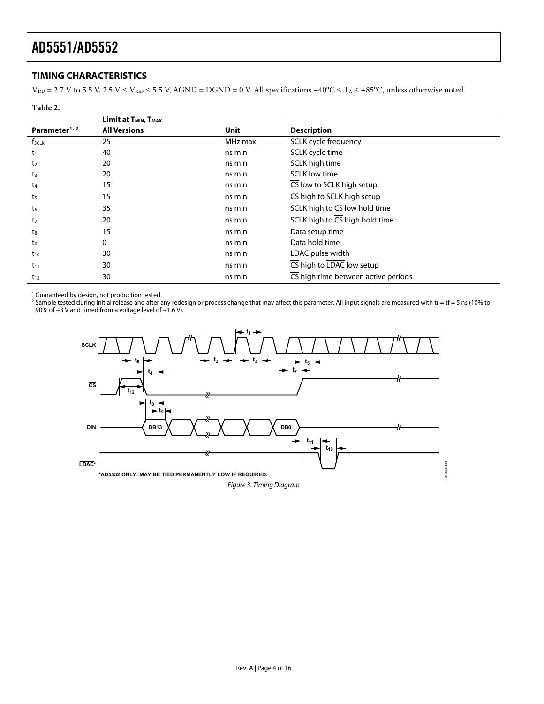### <span id="page-3-0"></span>**TIMING CHARACTERISTICS**

 $V_{DD}$  = 2.7 V to 5.5 V, 2.5 V ≤ V<sub>REF</sub> ≤ 5.5 V, AGND = DGND = 0 V. All specifications  $-40^{\circ}$ C ≤ T<sub>A</sub> ≤ +85°C, unless otherwise noted.

#### **Table 2.**

|                           | Limit at T <sub>MIN</sub> , T <sub>MAX</sub> |             |                                                         |
|---------------------------|----------------------------------------------|-------------|---------------------------------------------------------|
| Parameter <sup>1, 2</sup> | <b>All Versions</b>                          | <b>Unit</b> | <b>Description</b>                                      |
| f <sub>SCLK</sub>         | 25                                           | MHz max     | SCLK cycle frequency                                    |
| $t_1$                     | 40                                           | ns min      | SCLK cycle time                                         |
| t <sub>2</sub>            | 20                                           | ns min      | SCLK high time                                          |
| $t_3$                     | 20                                           | ns min      | <b>SCLK</b> low time                                    |
| $t_{4}$                   | 15                                           | ns min      | CS low to SCLK high setup                               |
| t <sub>5</sub>            | 15                                           | ns min      | $\overline{\mathsf{CS}}$ high to SCLK high setup        |
| $t_{6}$                   | 35                                           | ns min      | SCLK high to $\overline{CS}$ low hold time              |
| t <sub>7</sub>            | 20                                           | ns min      | SCLK high to $\overline{CS}$ high hold time             |
| $t_{8}$                   | 15                                           | ns min      | Data setup time                                         |
| t9                        | 0                                            | ns min      | Data hold time                                          |
| $t_{10}$                  | 30                                           | ns min      | LDAC pulse width                                        |
| $t_{11}$                  | 30                                           | ns min      | CS high to LDAC low setup                               |
| $t_{12}$                  | 30                                           | ns min      | $\overline{\text{CS}}$ high time between active periods |

<sup>1</sup> Guaranteed by design, not production tested.

 $^2$  Sample tested during initial release and after any redesign or process change that may affect this parameter. All input signals are measured with tr = tf = 5 ns (10% to 90% of +3 V and timed from a voltage level of  $+1.6$  V).

<span id="page-3-1"></span>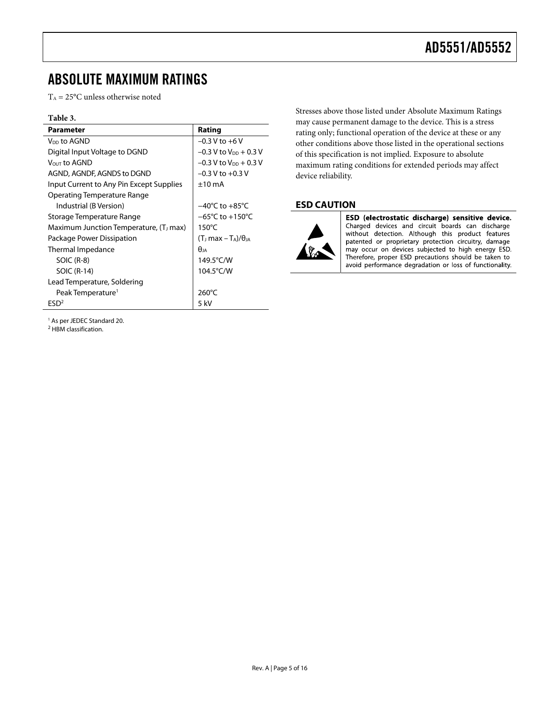### <span id="page-4-1"></span><span id="page-4-0"></span>ABSOLUTE MAXIMUM RATINGS

 $T_A = 25$ °C unless otherwise noted

#### **Table 3.**

| <b>Parameter</b>                                   | Rating                                    |
|----------------------------------------------------|-------------------------------------------|
| V <sub>DD</sub> to AGND                            | $-0.3$ V to $+6$ V                        |
| Digital Input Voltage to DGND                      | $-0.3$ V to V <sub>DD</sub> + 0.3 V       |
| $V_{OUT}$ to AGND                                  | $-0.3$ V to V <sub>DD</sub> + 0.3 V       |
| AGND, AGNDF, AGNDS to DGND                         | $-0.3$ V to $+0.3$ V                      |
| Input Current to Any Pin Except Supplies           | $\pm 10$ mA                               |
| Operating Temperature Range                        |                                           |
| Industrial (B Version)                             | $-40^{\circ}$ C to $+85^{\circ}$ C        |
| Storage Temperature Range                          | $-65^{\circ}$ C to $+150^{\circ}$ C       |
| Maximum Junction Temperature, (T <sub>J</sub> max) | $150^{\circ}$ C                           |
| Package Power Dissipation                          | (T) max – T <sub>A</sub> )/ $\theta_{JA}$ |
| Thermal Impedance                                  | $\theta$ ia                               |
| SOIC (R-8)                                         | 149.5°C/W                                 |
| SOIC (R-14)                                        | 104.5°C/W                                 |
| Lead Temperature, Soldering                        |                                           |
| Peak Temperature <sup>1</sup>                      | $260^{\circ}$ C                           |
| FSD <sup>2</sup>                                   | 5 kV                                      |

Stresses above those listed under Absolute Maximum Ratings may cause permanent damage to the device. This is a stress rating only; functional operation of the device at these or any other conditions above those listed in the operational sections of this specification is not implied. Exposure to absolute maximum rating conditions for extended periods may affect device reliability.

#### **ESD CAUTION**



ESD (electrostatic discharge) sensitive device. Charged devices and circuit boards can discharge<br>without detection. Although this product features patented or proprietary protection circuitry, damage may occur on devices subjected to high energy ESD. Therefore, proper ESD precautions should be taken to avoid performance degradation or loss of functionality.

1 As per JEDEC Standard 20.

<sup>2</sup> HBM classification.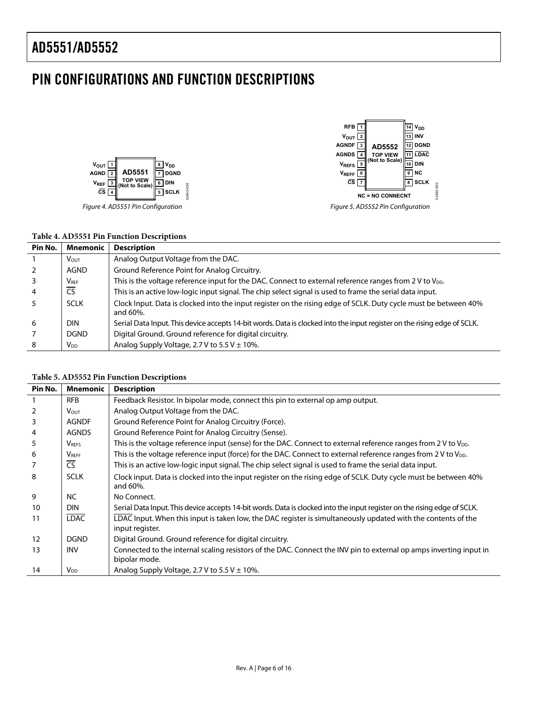# <span id="page-5-0"></span>PIN CONFIGURATIONS AND FUNCTION DESCRIPTIONS



Figure 4. AD5551 Pin Configuration



Figure 5. AD5552 Pin Configuration

#### **Table 4. AD5551 Pin Function Descriptions**

| Pin No.        | <b>Mnemonic</b>        | <b>Description</b>                                                                                                          |
|----------------|------------------------|-----------------------------------------------------------------------------------------------------------------------------|
|                | <b>VOUT</b>            | Analog Output Voltage from the DAC.                                                                                         |
|                | AGND                   | Ground Reference Point for Analog Circuitry.                                                                                |
|                | $V_{REF}$              | This is the voltage reference input for the DAC. Connect to external reference ranges from 2 V to $V_{DD}$ .                |
| $\overline{4}$ | $\overline{\text{CS}}$ | This is an active low-logic input signal. The chip select signal is used to frame the serial data input.                    |
| 5              | <b>SCLK</b>            | Clock Input. Data is clocked into the input register on the rising edge of SCLK. Duty cycle must be between 40%<br>and 60%. |
| -6             | <b>DIN</b>             | Serial Data Input. This device accepts 14-bit words. Data is clocked into the input register on the rising edge of SCLK.    |
|                | <b>DGND</b>            | Digital Ground. Ground reference for digital circuitry.                                                                     |
| 8              | V <sub>DD</sub>        | Analog Supply Voltage, 2.7 V to $5.5$ V $\pm$ 10%.                                                                          |

| Pin No.           | Mnemonic         | <b>Description</b>                                                                                                                  |
|-------------------|------------------|-------------------------------------------------------------------------------------------------------------------------------------|
|                   | <b>RFB</b>       | Feedback Resistor. In bipolar mode, connect this pin to external op amp output.                                                     |
|                   | $V_{\text{OUT}}$ | Analog Output Voltage from the DAC.                                                                                                 |
| 3                 | <b>AGNDF</b>     | Ground Reference Point for Analog Circuitry (Force).                                                                                |
| 4                 | <b>AGNDS</b>     | Ground Reference Point for Analog Circuitry (Sense).                                                                                |
| 5                 | <b>V</b> REES    | This is the voltage reference input (sense) for the DAC. Connect to external reference ranges from 2 V to V <sub>DD</sub> .         |
| 6                 | V <sub>REF</sub> | This is the voltage reference input (force) for the DAC. Connect to external reference ranges from 2 V to V <sub>DD</sub> .         |
|                   | CS               | This is an active low-logic input signal. The chip select signal is used to frame the serial data input.                            |
| 8                 | <b>SCLK</b>      | Clock input. Data is clocked into the input register on the rising edge of SCLK. Duty cycle must be between 40%<br>and 60%.         |
| 9                 | <b>NC</b>        | No Connect.                                                                                                                         |
| 10                | <b>DIN</b>       | Serial Data Input. This device accepts 14-bit words. Data is clocked into the input register on the rising edge of SCLK.            |
| 11                | <b>LDAC</b>      | LDAC Input. When this input is taken low, the DAC register is simultaneously updated with the contents of the                       |
|                   |                  | input register.                                                                                                                     |
| $12 \overline{ }$ | <b>DGND</b>      | Digital Ground. Ground reference for digital circuitry.                                                                             |
| 13                | <b>INV</b>       | Connected to the internal scaling resistors of the DAC. Connect the INV pin to external op amps inverting input in<br>bipolar mode. |
| 14                | V <sub>DD</sub>  | Analog Supply Voltage, 2.7 V to 5.5 V $\pm$ 10%.                                                                                    |

#### **Table 5. AD5552 Pin Function Descriptions**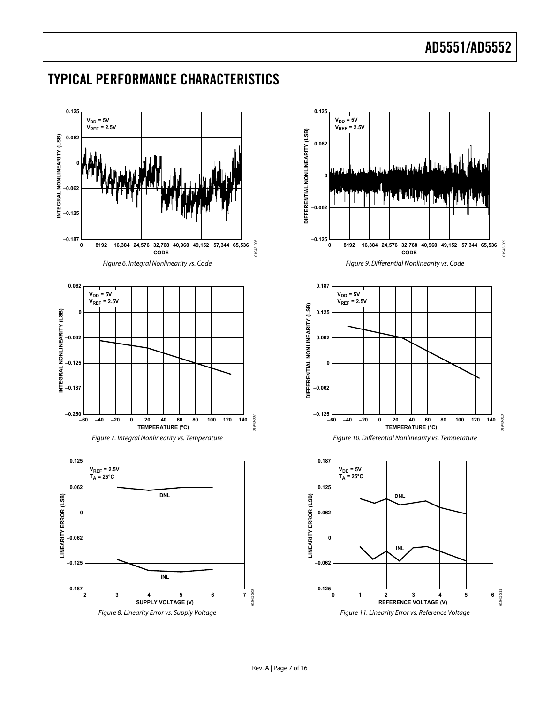### <span id="page-6-0"></span>TYPICAL PERFORMANCE CHARACTERISTICS

<span id="page-6-1"></span>

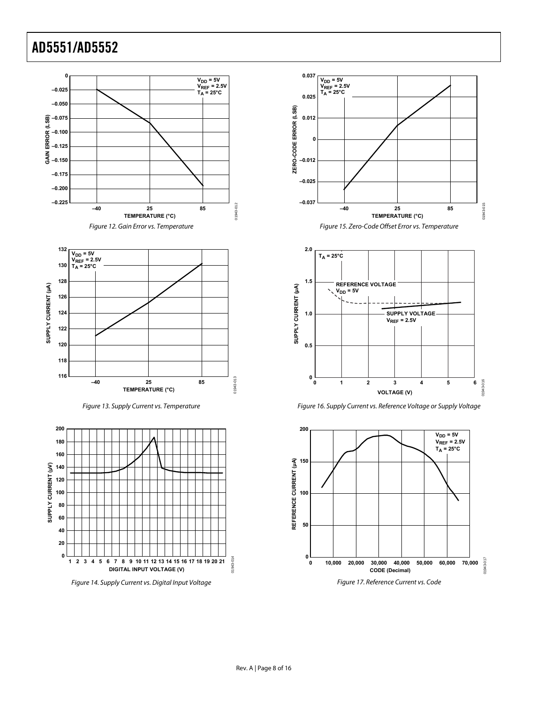



Figure 13. Supply Current vs. Temperature



Figure 14. Supply Current vs. Digital Input Voltage









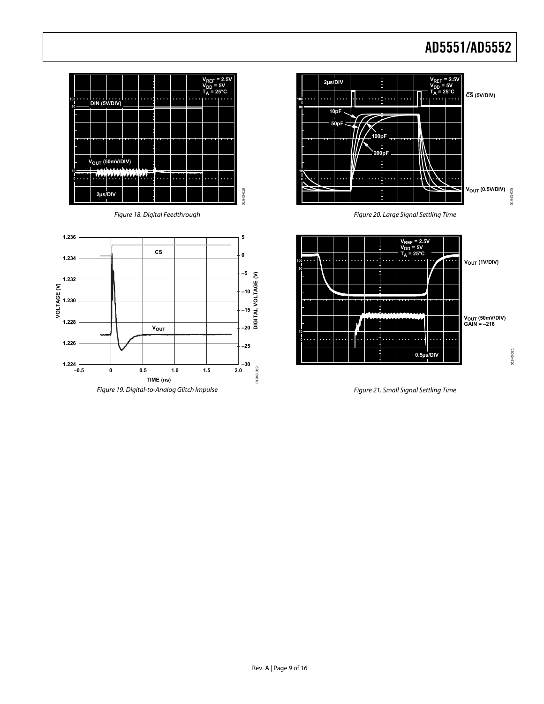01943-020



<span id="page-8-1"></span><span id="page-8-0"></span>



Figure 20. Large Signal Settling Time



Figure 21. Small Signal Settling Time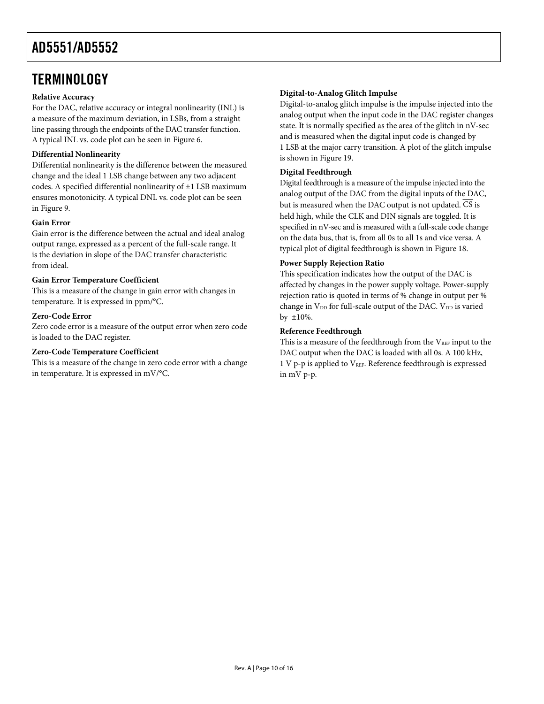# <span id="page-9-0"></span>**TERMINOLOGY**

#### **Relative Accuracy**

For the DAC, relative accuracy or integral nonlinearity (INL) is a measure of the maximum deviation, in LSBs, from a straight line passing through the endpoints of the DAC transfer function. A typical INL vs. code plot can be seen in [Figure 6.](#page-6-1)

#### **Differential Nonlinearity**

Differential nonlinearity is the difference between the measured change and the ideal 1 LSB change between any two adjacent codes. A specified differential nonlinearity of ±1 LSB maximum ensures monotonicity. A typical DNL vs. code plot can be seen in [Figure 9.](#page-6-1)

#### **Gain Error**

Gain error is the difference between the actual and ideal analog output range, expressed as a percent of the full-scale range. It is the deviation in slope of the DAC transfer characteristic from ideal.

#### **Gain Error Temperature Coefficient**

This is a measure of the change in gain error with changes in temperature. It is expressed in ppm/°C.

#### **Zero-Code Error**

Zero code error is a measure of the output error when zero code is loaded to the DAC register.

#### **Zero-Code Temperature Coefficient**

This is a measure of the change in zero code error with a change in temperature. It is expressed in mV/°C.

#### **Digital-to-Analog Glitch Impulse**

Digital-to-analog glitch impulse is the impulse injected into the analog output when the input code in the DAC register changes state. It is normally specified as the area of the glitch in nV-sec and is measured when the digital input code is changed by 1 LSB at the major carry transition. A plot of the glitch impulse is shown in [Figure 19.](#page-8-0)

#### **Digital Feedthrough**

Digital feedthrough is a measure of the impulse injected into the analog output of the DAC from the digital inputs of the DAC, but is measured when the DAC output is not updated. CS is held high, while the CLK and DIN signals are toggled. It is specified in nV-sec and is measured with a full-scale code change on the data bus, that is, from all 0s to all 1s and vice versa. A typical plot of digital feedthrough is shown in [Figure 18](#page-8-1).

#### **Power Supply Rejection Ratio**

This specification indicates how the output of the DAC is affected by changes in the power supply voltage. Power-supply rejection ratio is quoted in terms of % change in output per % change in V<sub>DD</sub> for full-scale output of the DAC. V<sub>DD</sub> is varied by ±10%.

#### **Reference Feedthrough**

This is a measure of the feedthrough from the VREF input to the DAC output when the DAC is loaded with all 0s. A 100 kHz, 1 V p-p is applied to VREF. Reference feedthrough is expressed in mV p-p.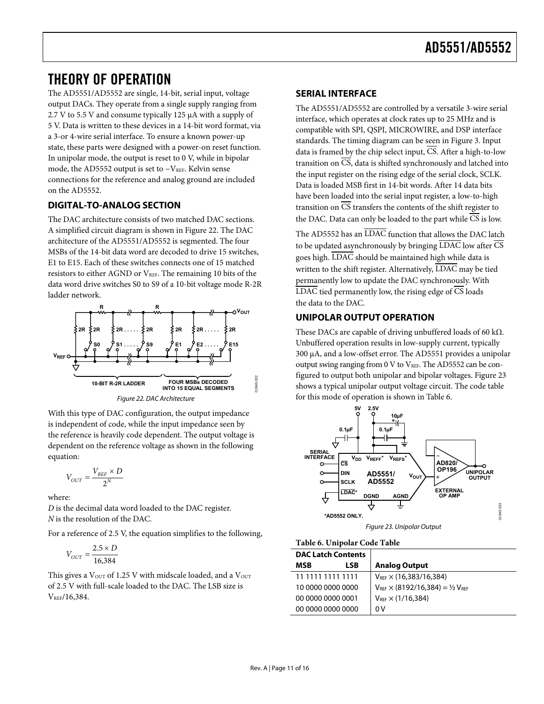### <span id="page-10-1"></span><span id="page-10-0"></span>THEORY OF OPERATION

The AD5551/AD5552 are single, 14-bit, serial input, voltage output DACs. They operate from a single supply ranging from 2.7 V to 5.5 V and consume typically 125 μA with a supply of 5 V. Data is written to these devices in a 14-bit word format, via a 3-or 4-wire serial interface. To ensure a known power-up state, these parts were designed with a power-on reset function. In unipolar mode, the output is reset to 0 V, while in bipolar mode, the AD5552 output is set to  $-V<sub>REF</sub>$ . Kelvin sense connections for the reference and analog ground are included on the AD5552.

### **DIGITAL-TO-ANALOG SECTION**

The DAC architecture consists of two matched DAC sections. A simplified circuit diagram is shown in [Figure 22.](#page-10-2) The DAC architecture of the AD5551/AD5552 is segmented. The four MSBs of the 14-bit data word are decoded to drive 15 switches, E1 to E15. Each of these switches connects one of 15 matched resistors to either AGND or V<sub>REF</sub>. The remaining 10 bits of the data word drive switches S0 to S9 of a 10-bit voltage mode R-2R ladder network.



Figure 22. DAC Architecture

<span id="page-10-2"></span>With this type of DAC configuration, the output impedance is independent of code, while the input impedance seen by the reference is heavily code dependent. The output voltage is dependent on the reference voltage as shown in the following equation:

$$
V_{OUT} = \frac{V_{REF} \times D}{2^N}
$$

where:

*D* is the decimal data word loaded to the DAC register. *N* is the resolution of the DAC.

<span id="page-10-4"></span><span id="page-10-3"></span>For a reference of 2.5 V, the equation simplifies to the following,

$$
V_{OUT} = \frac{2.5 \times D}{16,384}
$$

This gives a  $V_{\text{OUT}}$  of 1.25 V with midscale loaded, and a  $V_{\text{OUT}}$ of 2.5 V with full-scale loaded to the DAC. The LSB size is VREF/16,384.

### **SERIAL INTERFACE**

The AD5551/AD5552 are controlled by a versatile 3-wire serial interface, which operates at clock rates up to 25 MHz and is compatible with SPI, QSPI, MICROWIRE, and DSP interface standards. The timing diagram can be seen in [Figure 3.](#page-3-1) Input data is framed by the chip select input, CS. After a high-to-low transition on  $\overline{CS}$ , data is shifted synchronously and latched into the input register on the rising edge of the serial clock, SCLK. Data is loaded MSB first in 14-bit words. After 14 data bits have been loaded into the serial input register, a low-to-high transition on  $\overline{CS}$  transfers the contents of the shift register to the DAC. Data can only be loaded to the part while CS is low.

The AD5552 has an LDAC function that allows the DAC latch to be updated asynchronously by bringing  $\overline{\text{LDAC}}$  low after  $\overline{\text{CS}}$ goes high. LDAC should be maintained high while data is written to the shift register. Alternatively, LDAC may be tied permanently low to update the DAC synchronously. With LDAC tied permanently low, the rising edge of CS loads the data to the DAC.

### **UNIPOLAR OUTPUT OPERATION**

These DACs are capable of driving unbuffered loads of 60 kΩ. Unbuffered operation results in low-supply current, typically 300 μA, and a low-offset error. The AD5551 provides a unipolar output swing ranging from  $0$  V to  $V<sub>REF</sub>$ . The AD5552 can be configured to output both unipolar and bipolar voltages. [Figure 23](#page-10-3) shows a typical unipolar output voltage circuit. The code table for this mode of operation is shown in [Table 6](#page-10-4).



|  |  |  | Table 6. Unipolar Code Table |  |
|--|--|--|------------------------------|--|
|--|--|--|------------------------------|--|

| <b>DAC Latch Contents</b> |            |                                                            |
|---------------------------|------------|------------------------------------------------------------|
| MSB                       | <b>LSB</b> | <b>Analog Output</b>                                       |
| 11 1111 1111 1111         |            | $V_{REF} \times (16,383/16,384)$                           |
| 10 0000 0000 0000         |            | $V_{\text{REF}} \times (8192/16,384) = 1/2 V_{\text{REF}}$ |
| 00 0000 0000 0001         |            | $V_{REF} \times (1/16,384)$                                |
| <u>00 0000 0000 0000 </u> |            | 0 V                                                        |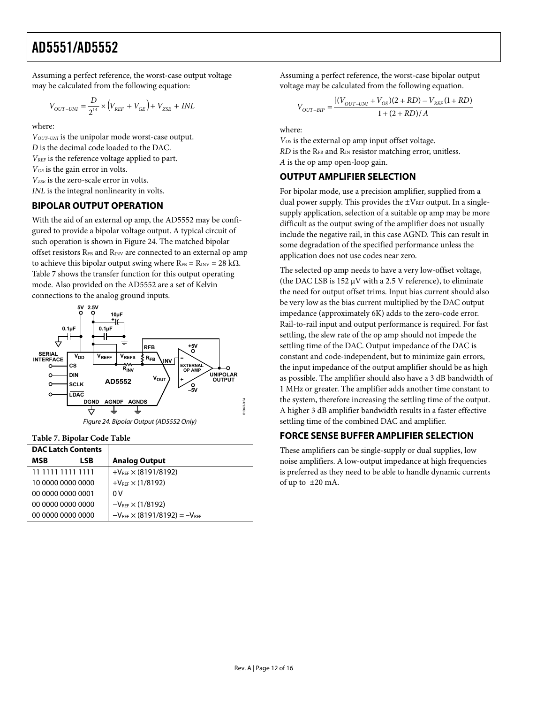<span id="page-11-0"></span>Assuming a perfect reference, the worst-case output voltage may be calculated from the following equation:

$$
V_{OUT-UM}=\frac{D}{2^{14}}\times\left(V_{REF}+V_{GE}\right)+V_{ZSE}+INL
$$

where:

*VOUT–UNI* is the unipolar mode worst-case output. *D* is the decimal code loaded to the DAC. *VREF* is the reference voltage applied to part. *VGE* is the gain error in volts. *VZSE* is the zero-scale error in volts.

*INL* is the integral nonlinearity in volts.

### **BIPOLAR OUTPUT OPERATION**

With the aid of an external op amp, the AD5552 may be configured to provide a bipolar voltage output. A typical circuit of such operation is shown in [Figure 24](#page-11-1). The matched bipolar offset resistors R<sub>FB</sub> and R<sub>INV</sub> are connected to an external op amp to achieve this bipolar output swing where  $R_{FB} = R_{INV} = 28$  k $\Omega$ . Table 7 shows the transfer function for this output operating mode. Also provided on the AD5552 are a set of Kelvin connections to the analog ground inputs.



<span id="page-11-1"></span>**Table 7. Bipolar Code Table** 

| <b>DAC Latch Contents</b> |     |                                          |
|---------------------------|-----|------------------------------------------|
| <b>MSB</b>                | LSB | <b>Analog Output</b>                     |
| 11 1111 1111 1111         |     | $+V_{REF} \times (8191/8192)$            |
| 10 0000 0000 0000         |     | $+V_{REF} \times (1/8192)$               |
| 00 0000 0000 0001         |     | 0 V                                      |
| 00 0000 0000 0000         |     | $-V_{REF} \times (1/8192)$               |
| 00 0000 0000 0000         |     | $-V_{REF} \times (8191/8192) = -V_{REF}$ |

Assuming a perfect reference, the worst-case bipolar output voltage may be calculated from the following equation.

$$
V_{OUT-BIP} = \frac{[(V_{OUT-UNI} + V_{OS})(2 + RD) - V_{REF}(1 + RD)}{1 + (2 + RD) / A}
$$

where:

 $V<sub>OS</sub>$  is the external op amp input offset voltage. *RD* is the RFB and RIN resistor matching error, unitless. *A* is the op amp open-loop gain.

### **OUTPUT AMPLIFIER SELECTION**

For bipolar mode, use a precision amplifier, supplied from a dual power supply. This provides the  $\pm V_{REF}$  output. In a singlesupply application, selection of a suitable op amp may be more difficult as the output swing of the amplifier does not usually include the negative rail, in this case AGND. This can result in some degradation of the specified performance unless the application does not use codes near zero.

The selected op amp needs to have a very low-offset voltage, (the DAC LSB is 152  $\mu$ V with a 2.5 V reference), to eliminate the need for output offset trims. Input bias current should also be very low as the bias current multiplied by the DAC output impedance (approximately 6K) adds to the zero-code error. Rail-to-rail input and output performance is required. For fast settling, the slew rate of the op amp should not impede the settling time of the DAC. Output impedance of the DAC is constant and code-independent, but to minimize gain errors, the input impedance of the output amplifier should be as high as possible. The amplifier should also have a 3 dB bandwidth of 1 MHz or greater. The amplifier adds another time constant to the system, therefore increasing the settling time of the output. A higher 3 dB amplifier bandwidth results in a faster effective settling time of the combined DAC and amplifier.

### **FORCE SENSE BUFFER AMPLIFIER SELECTION**

These amplifiers can be single-supply or dual supplies, low noise amplifiers. A low-output impedance at high frequencies is preferred as they need to be able to handle dynamic currents of up to ±20 mA.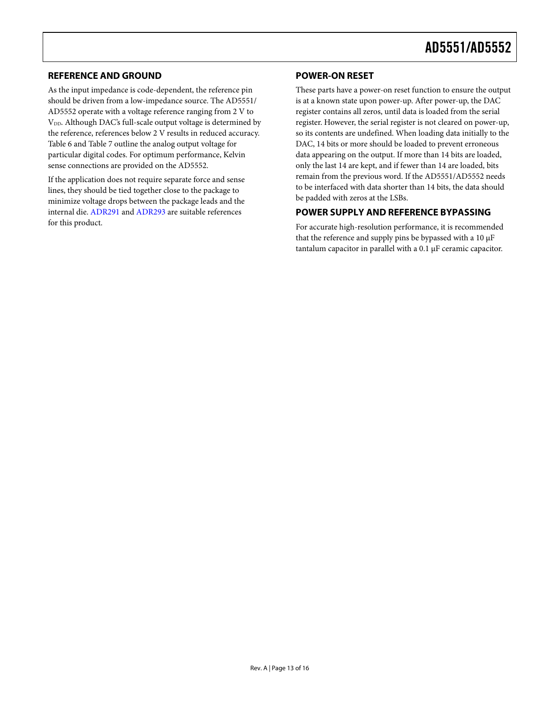#### <span id="page-12-1"></span><span id="page-12-0"></span>**REFERENCE AND GROUND**

As the input impedance is code-dependent, the reference pin should be driven from a low-impedance source. The AD5551/ AD5552 operate with a voltage reference ranging from 2 V to V<sub>DD</sub>. Although DAC's full-scale output voltage is determined by the reference, references below 2 V results in reduced accuracy. [Table 6](#page-10-4) an[d Table 7](#page-11-0) outline the analog output voltage for particular digital codes. For optimum performance, Kelvin sense connections are provided on the AD5552.

If the application does not require separate force and sense lines, they should be tied together close to the package to minimize voltage drops between the package leads and the internal die. [ADR291](http://www.analog.com/ADR291) and [ADR293](http://www.analog.com/ADR293) are suitable references for this product.

#### **POWER-ON RESET**

These parts have a power-on reset function to ensure the output is at a known state upon power-up. After power-up, the DAC register contains all zeros, until data is loaded from the serial register. However, the serial register is not cleared on power-up, so its contents are undefined. When loading data initially to the DAC, 14 bits or more should be loaded to prevent erroneous data appearing on the output. If more than 14 bits are loaded, only the last 14 are kept, and if fewer than 14 are loaded, bits remain from the previous word. If the AD5551/AD5552 needs to be interfaced with data shorter than 14 bits, the data should be padded with zeros at the LSBs.

### **POWER SUPPLY AND REFERENCE BYPASSING**

For accurate high-resolution performance, it is recommended that the reference and supply pins be bypassed with a 10 μF tantalum capacitor in parallel with a 0.1 μF ceramic capacitor.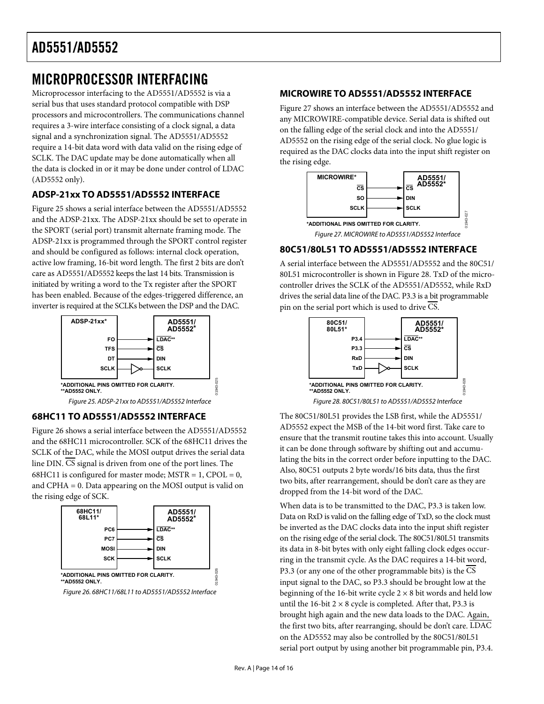# <span id="page-13-1"></span><span id="page-13-0"></span>MICROPROCESSOR INTERFACING

Microprocessor interfacing to the AD5551/AD5552 is via a serial bus that uses standard protocol compatible with DSP processors and microcontrollers. The communications channel requires a 3-wire interface consisting of a clock signal, a data signal and a synchronization signal. The AD5551/AD5552 require a 14-bit data word with data valid on the rising edge of SCLK. The DAC update may be done automatically when all the data is clocked in or it may be done under control of LDAC (AD5552 only).

### **ADSP-21xx TO AD5551/AD5552 INTERFACE**

<span id="page-13-4"></span>[Figure 25](#page-13-2) shows a serial interface between the AD5551/AD5552 and the ADSP-21xx. The ADSP-21xx should be set to operate in the SPORT (serial port) transmit alternate framing mode. The ADSP-21xx is programmed through the SPORT control register and should be configured as follows: internal clock operation, active low framing, 16-bit word length. The first 2 bits are don't care as AD5551/AD5552 keeps the last 14 bits. Transmission is initiated by writing a word to the Tx register after the SPORT has been enabled. Because of the edges-triggered difference, an inverter is required at the SCLKs between the DSP and the DAC.



Figure 25. ADSP-21xx to AD5551/AD5552 Interface

01943-025

343-025

### <span id="page-13-2"></span>**68HC11 TO AD5551/AD5552 INTERFACE**

[Figure 26](#page-13-3) shows a serial interface between the AD5551/AD5552 and the 68HC11 microcontroller. SCK of the 68HC11 drives the SCLK of the DAC, while the MOSI output drives the serial data line DIN. CS signal is driven from one of the port lines. The 68HC11 is configured for master mode;  $MSTR = 1$ ,  $CPOL = 0$ , and CPHA = 0. Data appearing on the MOSI output is valid on the rising edge of SCK.



<span id="page-13-3"></span>

#### **MICROWIRE TO AD5551/AD5552 INTERFACE**

[Figure 27](#page-13-4) shows an interface between the AD5551/AD5552 and any MICROWIRE-compatible device. Serial data is shifted out on the falling edge of the serial clock and into the AD5551/ AD5552 on the rising edge of the serial clock. No glue logic is required as the DAC clocks data into the input shift register on the rising edge.



### **80C51/80L51 TO AD5551/AD5552 INTERFACE**

A serial interface between the AD5551/AD5552 and the 80C51/ 80L51 microcontroller is shown in [Figure 28](#page-13-2). TxD of the microcontroller drives the SCLK of the AD5551/AD5552, while RxD drives the serial data line of the DAC. P3.3 is a bit programmable pin on the serial port which is used to drive  $\overline{\text{CS}}$ .



The 80C51/80L51 provides the LSB first, while the AD5551/ AD5552 expect the MSB of the 14-bit word first. Take care to ensure that the transmit routine takes this into account. Usually it can be done through software by shifting out and accumulating the bits in the correct order before inputting to the DAC. Also, 80C51 outputs 2 byte words/16 bits data, thus the first two bits, after rearrangement, should be don't care as they are dropped from the 14-bit word of the DAC.

When data is to be transmitted to the DAC, P3.3 is taken low. Data on RxD is valid on the falling edge of TxD, so the clock must be inverted as the DAC clocks data into the input shift register on the rising edge of the serial clock. The 80C51/80L51 transmits its data in 8-bit bytes with only eight falling clock edges occurring in the transmit cycle. As the DAC requires a 14-bit word, P3.3 (or any one of the other programmable bits) is the CS input signal to the DAC, so P3.3 should be brought low at the beginning of the 16-bit write cycle  $2 \times 8$  bit words and held low until the 16-bit  $2 \times 8$  cycle is completed. After that, P3.3 is brought high again and the new data loads to the DAC. Again, the first two bits, after rearranging, should be don't care. LDAC on the AD5552 may also be controlled by the 80C51/80L51 serial port output by using another bit programmable pin, P3.4.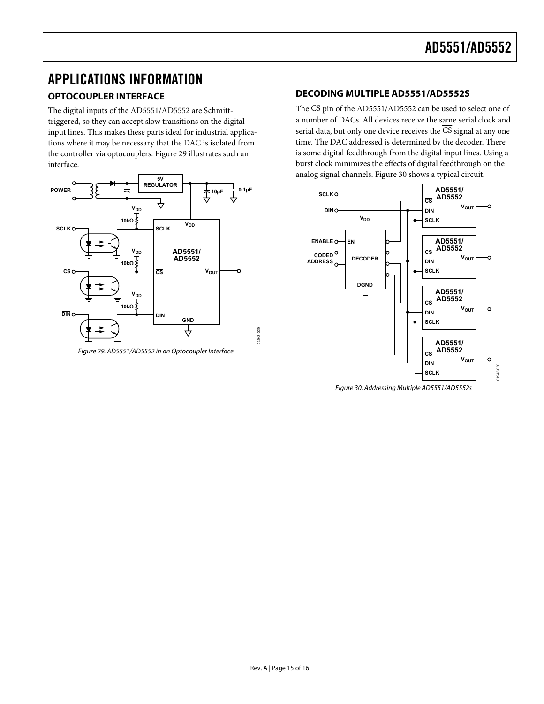# <span id="page-14-1"></span><span id="page-14-0"></span>APPLICATIONS INFORMATION

### **OPTOCOUPLER INTERFACE**

The digital inputs of the AD5551/AD5552 are Schmitttriggered, so they can accept slow transitions on the digital input lines. This makes these parts ideal for industrial applications where it may be necessary that the DAC is isolated from the controller via optocouplers. [Figure 29](#page-14-2) illustrates such an interface.



<span id="page-14-3"></span><span id="page-14-2"></span>Figure 29. AD5551/AD5552 in an Optocoupler Interface

### **DECODING MULTIPLE AD5551/AD5552S**

The  $\overline{CS}$  pin of the AD5551/AD5552 can be used to select one of a number of DACs. All devices receive the same serial clock and serial data, but only one device receives the CS signal at any one time. The DAC addressed is determined by the decoder. There is some digital feedthrough from the digital input lines. Using a burst clock minimizes the effects of digital feedthrough on the analog signal channels. [Figure 30](#page-14-3) shows a typical circuit.



Figure 30. Addressing Multiple AD5551/AD5552s